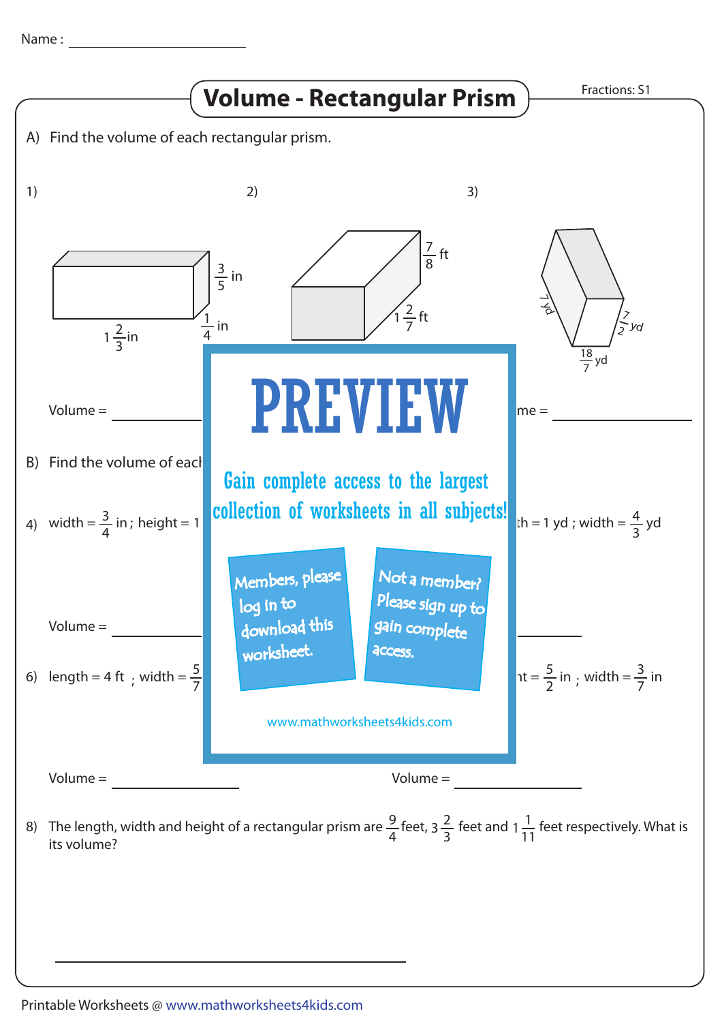